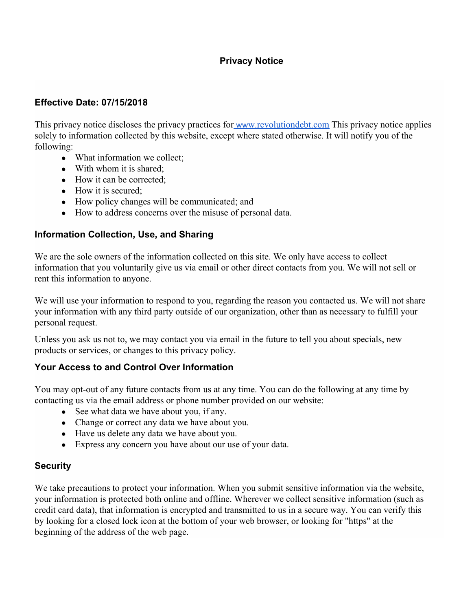# **Privacy Notice**

#### **Effective Date: 07/15/2018**

This privacy notice discloses the privacy practices for [ww](http://www.revolutiondebt.com/)[w.revolutiondebt.com](http://www.revolutiondebt.com/) This privacy notice applies solely to information collected by this website, except where stated otherwise. It will notify you of the following:

- What information we collect;
- With whom it is shared:
- How it can be corrected:
- How it is secured;
- How policy changes will be communicated; and
- How to address concerns over the misuse of personal data.

## **Information Collection, Use, and Sharing**

We are the sole owners of the information collected on this site. We only have access to collect information that you voluntarily give us via email or other direct contacts from you. We will not sell or rent this information to anyone.

We will use your information to respond to you, regarding the reason you contacted us. We will not share your information with any third party outside of our organization, other than as necessary to fulfill your personal request.

Unless you ask us not to, we may contact you via email in the future to tell you about specials, new products or services, or changes to this privacy policy.

## **Your Access to and Control Over Information**

You may opt-out of any future contacts from us at any time. You can do the following at any time by contacting us via the email address or phone number provided on our website:

- See what data we have about you, if any.
- Change or correct any data we have about you.
- Have us delete any data we have about you.
- Express any concern you have about our use of your data.

## **Security**

We take precautions to protect your information. When you submit sensitive information via the website, your information is protected both online and offline. Wherever we collect sensitive information (such as credit card data), that information is encrypted and transmitted to us in a secure way. You can verify this by looking for a closed lock icon at the bottom of your web browser, or looking for "https" at the beginning of the address of the web page.